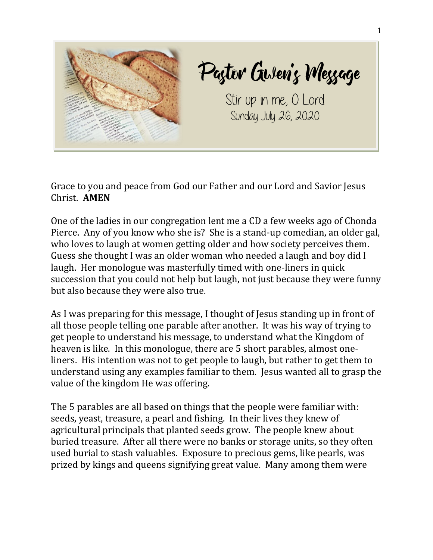

Pagtor Gwen's Meggage

Stir up in me, O Lord Sunday July 26, 2020

Grace to you and peace from God our Father and our Lord and Savior Jesus Christ. **AMEN**

One of the ladies in our congregation lent me a CD a few weeks ago of Chonda Pierce. Any of you know who she is? She is a stand-up comedian, an older gal, who loves to laugh at women getting older and how society perceives them. Guess she thought I was an older woman who needed a laugh and boy did I laugh. Her monologue was masterfully timed with one-liners in quick succession that you could not help but laugh, not just because they were funny but also because they were also true.

As I was preparing for this message, I thought of Jesus standing up in front of all those people telling one parable after another. It was his way of trying to get people to understand his message, to understand what the Kingdom of heaven is like. In this monologue, there are 5 short parables, almost oneliners. His intention was not to get people to laugh, but rather to get them to understand using any examples familiar to them. Jesus wanted all to grasp the value of the kingdom He was offering.

The 5 parables are all based on things that the people were familiar with: seeds, yeast, treasure, a pearl and fishing. In their lives they knew of agricultural principals that planted seeds grow. The people knew about buried treasure. After all there were no banks or storage units, so they often used burial to stash valuables. Exposure to precious gems, like pearls, was prized by kings and queens signifying great value. Many among them were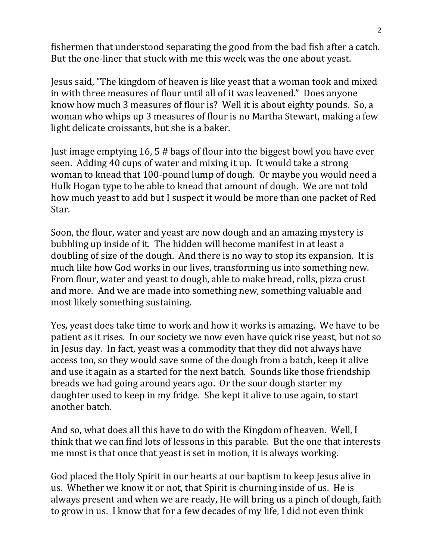fishermen that understood separating the good from the bad fish after a catch. But the one-liner that stuck with me this week was the one about yeast.

Jesus said, "The kingdom of heaven is like yeast that a woman took and mixed in with three measures of flour until all of it was leavened." Does anyone know how much 3 measures of flour is? Well it is about eighty pounds. So, a woman who whips up 3 measures of flour is no Martha Stewart, making a few light delicate croissants, but she is a baker.

Just image emptying 16, 5 # bags of flour into the biggest bowl you have ever seen. Adding 40 cups of water and mixing it up. It would take a strong woman to knead that 100-pound lump of dough. Or maybe you would need a Hulk Hogan type to be able to knead that amount of dough. We are not told how much yeast to add but I suspect it would be more than one packet of Red Star.

Soon, the flour, water and yeast are now dough and an amazing mystery is bubbling up inside of it. The hidden will become manifest in at least a doubling of size of the dough. And there is no way to stop its expansion. It is much like how God works in our lives, transforming us into something new. From flour, water and yeast to dough, able to make bread, rolls, pizza crust and more. And we are made into something new, something valuable and most likely something sustaining.

Yes, yeast does take time to work and how it works is amazing. We have to be patient as it rises. In our society we now even have quick rise yeast, but not so in Jesus day. In fact, yeast was a commodity that they did not always have access too, so they would save some of the dough from a batch, keep it alive and use it again as a started for the next batch. Sounds like those friendship breads we had going around years ago. Or the sour dough starter my daughter used to keep in my fridge. She kept it alive to use again, to start another batch.

And so, what does all this have to do with the Kingdom of heaven. Well, I think that we can find lots of lessons in this parable. But the one that interests me most is that once that yeast is set in motion, it is always working.

God placed the Holy Spirit in our hearts at our baptism to keep Jesus alive in us. Whether we know it or not, that Spirit is churning inside of us. He is always present and when we are ready, He will bring us a pinch of dough, faith to grow in us. I know that for a few decades of my life, I did not even think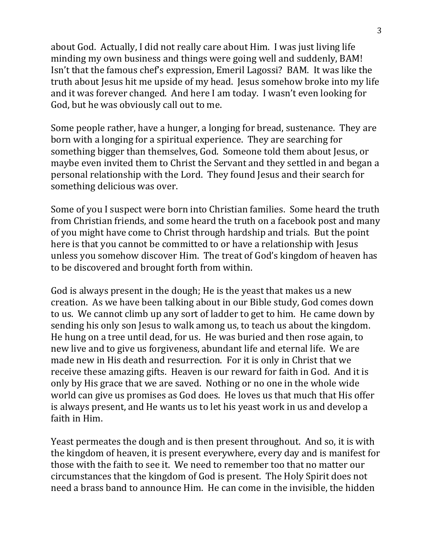about God. Actually, I did not really care about Him. I was just living life minding my own business and things were going well and suddenly, BAM! Isn't that the famous chef's expression, Emeril Lagossi? BAM. It was like the truth about Jesus hit me upside of my head. Jesus somehow broke into my life and it was forever changed. And here I am today. I wasn't even looking for God, but he was obviously call out to me.

Some people rather, have a hunger, a longing for bread, sustenance. They are born with a longing for a spiritual experience. They are searching for something bigger than themselves, God. Someone told them about Jesus, or maybe even invited them to Christ the Servant and they settled in and began a personal relationship with the Lord. They found Jesus and their search for something delicious was over.

Some of you I suspect were born into Christian families. Some heard the truth from Christian friends, and some heard the truth on a facebook post and many of you might have come to Christ through hardship and trials. But the point here is that you cannot be committed to or have a relationship with Jesus unless you somehow discover Him. The treat of God's kingdom of heaven has to be discovered and brought forth from within.

God is always present in the dough; He is the yeast that makes us a new creation. As we have been talking about in our Bible study, God comes down to us. We cannot climb up any sort of ladder to get to him. He came down by sending his only son Jesus to walk among us, to teach us about the kingdom. He hung on a tree until dead, for us. He was buried and then rose again, to new live and to give us forgiveness, abundant life and eternal life. We are made new in His death and resurrection. For it is only in Christ that we receive these amazing gifts. Heaven is our reward for faith in God. And it is only by His grace that we are saved. Nothing or no one in the whole wide world can give us promises as God does. He loves us that much that His offer is always present, and He wants us to let his yeast work in us and develop a faith in Him.

Yeast permeates the dough and is then present throughout. And so, it is with the kingdom of heaven, it is present everywhere, every day and is manifest for those with the faith to see it. We need to remember too that no matter our circumstances that the kingdom of God is present. The Holy Spirit does not need a brass band to announce Him. He can come in the invisible, the hidden